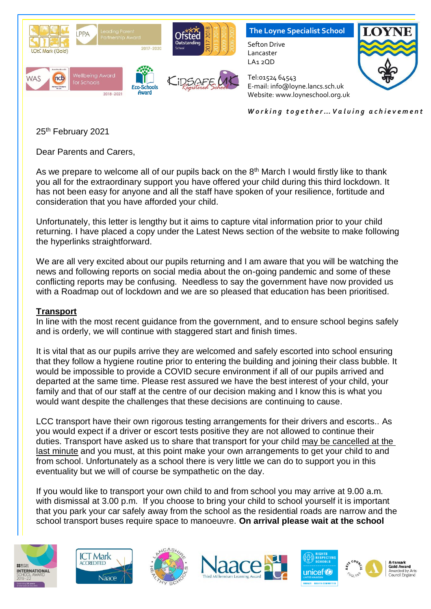

*W o r k i n g t o g e t h e r … V a l u i n g a c h i e v e m e n t*

25<sup>th</sup> February 2021

Dear Parents and Carers,

As we prepare to welcome all of our pupils back on the  $8<sup>th</sup>$  March I would firstly like to thank you all for the extraordinary support you have offered your child during this third lockdown. It has not been easy for anyone and all the staff have spoken of your resilience, fortitude and consideration that you have afforded your child.

Unfortunately, this letter is lengthy but it aims to capture vital information prior to your child returning. I have placed a copy under the Latest News section of the website to make following the hyperlinks straightforward.

We are all very excited about our pupils returning and I am aware that you will be watching the news and following reports on social media about the on-going pandemic and some of these conflicting reports may be confusing. Needless to say the government have now provided us with a Roadmap out of lockdown and we are so pleased that education has been prioritised.

### **Transport**

In line with the most recent guidance from the government, and to ensure school begins safely and is orderly, we will continue with staggered start and finish times.

It is vital that as our pupils arrive they are welcomed and safely escorted into school ensuring that they follow a hygiene routine prior to entering the building and joining their class bubble. It would be impossible to provide a COVID secure environment if all of our pupils arrived and departed at the same time. Please rest assured we have the best interest of your child, your family and that of our staff at the centre of our decision making and I know this is what you would want despite the challenges that these decisions are continuing to cause.

LCC transport have their own rigorous testing arrangements for their drivers and escorts.. As you would expect if a driver or escort tests positive they are not allowed to continue their duties. Transport have asked us to share that transport for your child may be cancelled at the last minute and you must, at this point make your own arrangements to get your child to and from school. Unfortunately as a school there is very little we can do to support you in this eventuality but we will of course be sympathetic on the day.

If you would like to transport your own child to and from school you may arrive at 9.00 a.m. with dismissal at 3.00 p.m. If you choose to bring your child to school yourself it is important that you park your car safely away from the school as the residential roads are narrow and the school transport buses require space to manoeuvre. **On arrival please wait at the school** 













Artsmark<br>Gold Award .<br>Awarded by Arts<br>Council England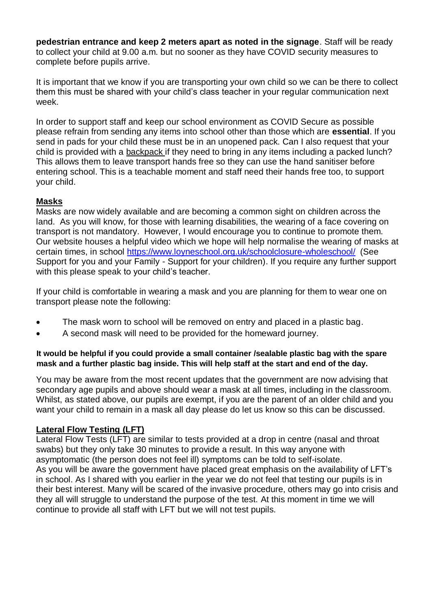**pedestrian entrance and keep 2 meters apart as noted in the signage**. Staff will be ready to collect your child at 9.00 a.m. but no sooner as they have COVID security measures to complete before pupils arrive.

It is important that we know if you are transporting your own child so we can be there to collect them this must be shared with your child's class teacher in your regular communication next week.

In order to support staff and keep our school environment as COVID Secure as possible please refrain from sending any items into school other than those which are **essential**. If you send in pads for your child these must be in an unopened pack. Can I also request that your child is provided with a backpack if they need to bring in any items including a packed lunch? This allows them to leave transport hands free so they can use the hand sanitiser before entering school. This is a teachable moment and staff need their hands free too, to support your child.

# **Masks**

Masks are now widely available and are becoming a common sight on children across the land. As you will know, for those with learning disabilities, the wearing of a face covering on transport is not mandatory. However, I would encourage you to continue to promote them. Our website houses a helpful video which we hope will help normalise the wearing of masks at certain times, in school<https://www.loyneschool.org.uk/schoolclosure-wholeschool/>(See Support for you and your Family - Support for your children). If you require any further support with this please speak to your child's teacher.

If your child is comfortable in wearing a mask and you are planning for them to wear one on transport please note the following:

- The mask worn to school will be removed on entry and placed in a plastic bag.
- A second mask will need to be provided for the homeward journey.

### **It would be helpful if you could provide a small container /sealable plastic bag with the spare mask and a further plastic bag inside. This will help staff at the start and end of the day.**

You may be aware from the most recent updates that the government are now advising that secondary age pupils and above should wear a mask at all times, including in the classroom. Whilst, as stated above, our pupils are exempt, if you are the parent of an older child and you want your child to remain in a mask all day please do let us know so this can be discussed.

# **Lateral Flow Testing (LFT)**

Lateral Flow Tests (LFT) are similar to tests provided at a drop in centre (nasal and throat swabs) but they only take 30 minutes to provide a result. In this way anyone with asymptomatic (the person does not feel ill) symptoms can be told to self-isolate. As you will be aware the government have placed great emphasis on the availability of LFT's in school. As I shared with you earlier in the year we do not feel that testing our pupils is in their best interest. Many will be scared of the invasive procedure, others may go into crisis and they all will struggle to understand the purpose of the test. At this moment in time we will continue to provide all staff with LFT but we will not test pupils.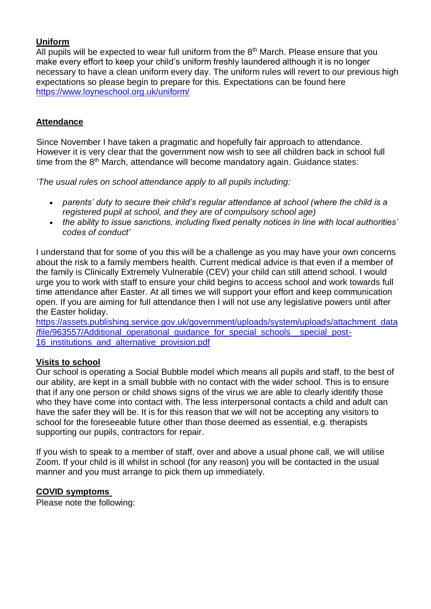## **Uniform**

All pupils will be expected to wear full uniform from the  $8<sup>th</sup>$  March. Please ensure that you make every effort to keep your child's uniform freshly laundered although it is no longer necessary to have a clean uniform every day. The uniform rules will revert to our previous high expectations so please begin to prepare for this. Expectations can be found here <https://www.loyneschool.org.uk/uniform/>

### **Attendance**

Since November I have taken a pragmatic and hopefully fair approach to attendance. However it is very clear that the government now wish to see all children back in school full time from the 8<sup>th</sup> March, attendance will become mandatory again. Guidance states:

'*The usual rules on school attendance apply to all pupils including:* 

- *parents' duty to secure their child's regular attendance at school (where the child is a registered pupil at school, and they are of compulsory school age)*
- *the ability to issue sanctions, including fixed penalty notices in line with local authorities' codes of conduct'*

I understand that for some of you this will be a challenge as you may have your own concerns about the risk to a family members health. Current medical advice is that even if a member of the family is Clinically Extremely Vulnerable (CEV) your child can still attend school. I would urge you to work with staff to ensure your child begins to access school and work towards full time attendance after Easter. At all times we will support your effort and keep communication open. If you are aiming for full attendance then I will not use any legislative powers until after the Easter holiday.

[https://assets.publishing.service.gov.uk/government/uploads/system/uploads/attachment\\_data](https://assets.publishing.service.gov.uk/government/uploads/system/uploads/attachment_data/file/963557/Additional_operational_guidance_for_special_schools__special_post-16_institutions_and_alternative_provision.pdf) [/file/963557/Additional\\_operational\\_guidance\\_for\\_special\\_schools\\_\\_special\\_post-](https://assets.publishing.service.gov.uk/government/uploads/system/uploads/attachment_data/file/963557/Additional_operational_guidance_for_special_schools__special_post-16_institutions_and_alternative_provision.pdf)[16\\_institutions\\_and\\_alternative\\_provision.pdf](https://assets.publishing.service.gov.uk/government/uploads/system/uploads/attachment_data/file/963557/Additional_operational_guidance_for_special_schools__special_post-16_institutions_and_alternative_provision.pdf)

### **Visits to school**

Our school is operating a Social Bubble model which means all pupils and staff, to the best of our ability, are kept in a small bubble with no contact with the wider school. This is to ensure that if any one person or child shows signs of the virus we are able to clearly identify those who they have come into contact with. The less interpersonal contacts a child and adult can have the safer they will be. It is for this reason that we will not be accepting any visitors to school for the foreseeable future other than those deemed as essential, e.g. therapists supporting our pupils, contractors for repair.

If you wish to speak to a member of staff, over and above a usual phone call, we will utilise Zoom. If your child is ill whilst in school (for any reason) you will be contacted in the usual manner and you must arrange to pick them up immediately.

### **COVID symptoms**

Please note the following: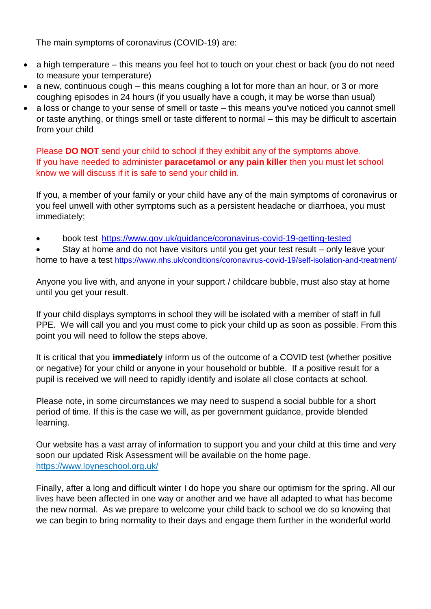The main symptoms of coronavirus (COVID-19) are:

- a high temperature this means you feel hot to touch on your chest or back (you do not need to measure your temperature)
- a new, continuous cough this means coughing a lot for more than an hour, or 3 or more coughing episodes in 24 hours (if you usually have a cough, it may be worse than usual)
- a loss or change to your sense of smell or taste this means you've noticed you cannot smell or taste anything, or things smell or taste different to normal – this may be difficult to ascertain from your child

Please **DO NOT** send your child to school if they exhibit any of the symptoms above. If you have needed to administer **paracetamol or any pain killer** then you must let school know we will discuss if it is safe to send your child in.

If you, a member of your family or your child have any of the main symptoms of coronavirus or you feel unwell with other symptoms such as a persistent headache or diarrhoea, you must immediately;

book test <https://www.gov.uk/guidance/coronavirus-covid-19-getting-tested>

 Stay at home and do not have visitors until you get your test result – only leave your home to have a test <https://www.nhs.uk/conditions/coronavirus-covid-19/self-isolation-and-treatment/>

Anyone you live with, and anyone in your support / childcare bubble, must also stay at home until you get your result.

If your child displays symptoms in school they will be isolated with a member of staff in full PPE. We will call you and you must come to pick your child up as soon as possible. From this point you will need to follow the steps above.

It is critical that you **immediately** inform us of the outcome of a COVID test (whether positive or negative) for your child or anyone in your household or bubble. If a positive result for a pupil is received we will need to rapidly identify and isolate all close contacts at school.

Please note, in some circumstances we may need to suspend a social bubble for a short period of time. If this is the case we will, as per government guidance, provide blended learning.

Our website has a vast array of information to support you and your child at this time and very soon our updated Risk Assessment will be available on the home page. <https://www.loyneschool.org.uk/>

Finally, after a long and difficult winter I do hope you share our optimism for the spring. All our lives have been affected in one way or another and we have all adapted to what has become the new normal. As we prepare to welcome your child back to school we do so knowing that we can begin to bring normality to their days and engage them further in the wonderful world